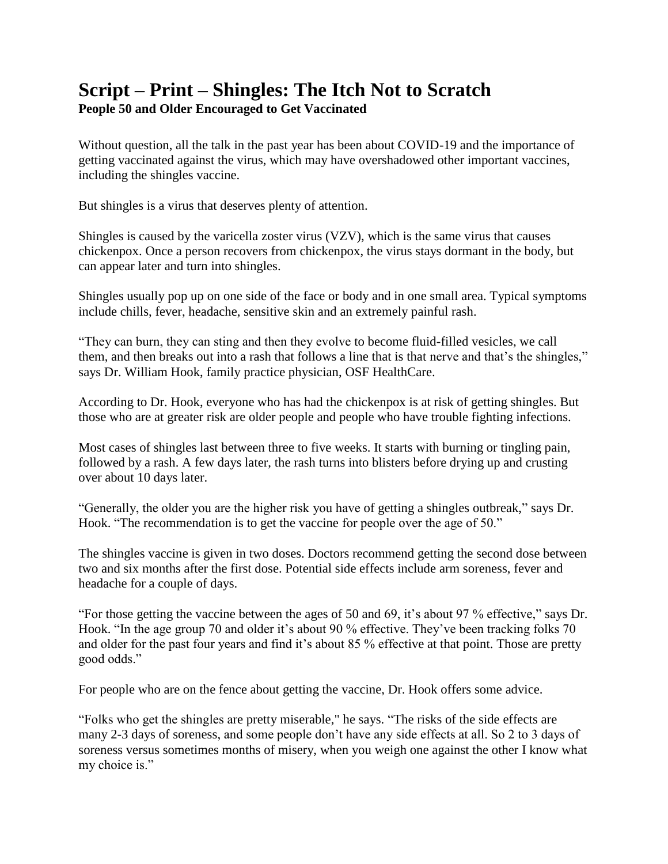## **Script – Print – Shingles: The Itch Not to Scratch**

**People 50 and Older Encouraged to Get Vaccinated** 

Without question, all the talk in the past year has been about COVID-19 and the importance of getting vaccinated against the virus, which may have overshadowed other important vaccines, including the shingles vaccine.

But shingles is a virus that deserves plenty of attention.

Shingles is caused by the varicella zoster virus (VZV), which is the same virus that causes chickenpox. Once a person recovers from chickenpox, the virus stays dormant in the body, but can appear later and turn into shingles.

Shingles usually pop up on one side of the face or body and in one small area. Typical symptoms include chills, fever, headache, sensitive skin and an extremely painful rash.

"They can burn, they can sting and then they evolve to become fluid-filled vesicles, we call them, and then breaks out into a rash that follows a line that is that nerve and that's the shingles," says Dr. William Hook, family practice physician, OSF HealthCare.

According to Dr. Hook, everyone who has had the chickenpox is at risk of getting shingles. But those who are at greater risk are older people and people who have trouble fighting infections.

Most cases of shingles last between three to five weeks. It starts with burning or tingling pain, followed by a rash. A few days later, the rash turns into blisters before drying up and crusting over about 10 days later.

"Generally, the older you are the higher risk you have of getting a shingles outbreak," says Dr. Hook. "The recommendation is to get the vaccine for people over the age of 50."

The shingles vaccine is given in two doses. Doctors recommend getting the second dose between two and six months after the first dose. Potential side effects include arm soreness, fever and headache for a couple of days.

"For those getting the vaccine between the ages of 50 and 69, it's about 97 % effective," says Dr. Hook. "In the age group 70 and older it's about 90 % effective. They've been tracking folks 70 and older for the past four years and find it's about 85 % effective at that point. Those are pretty good odds."

For people who are on the fence about getting the vaccine, Dr. Hook offers some advice.

"Folks who get the shingles are pretty miserable," he says. "The risks of the side effects are many 2-3 days of soreness, and some people don't have any side effects at all. So 2 to 3 days of soreness versus sometimes months of misery, when you weigh one against the other I know what my choice is."